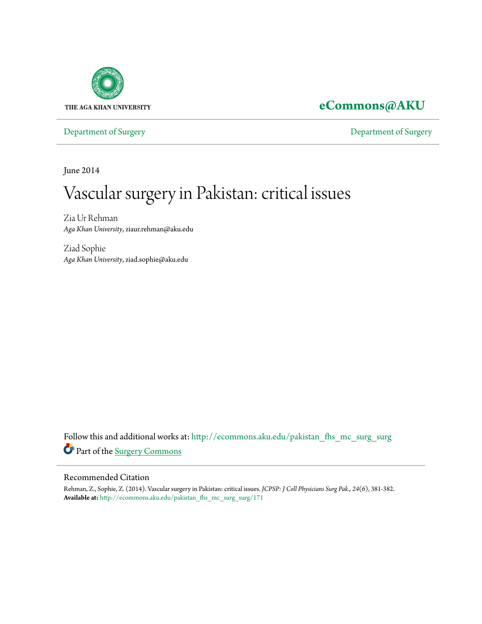

## **[eCommons@AKU](http://ecommons.aku.edu?utm_source=ecommons.aku.edu%2Fpakistan_fhs_mc_surg_surg%2F171&utm_medium=PDF&utm_campaign=PDFCoverPages)**

[Department of Surgery](http://ecommons.aku.edu/pakistan_fhs_mc_surg_surg?utm_source=ecommons.aku.edu%2Fpakistan_fhs_mc_surg_surg%2F171&utm_medium=PDF&utm_campaign=PDFCoverPages) [Department of Surgery](http://ecommons.aku.edu/pakistan_fhs_mc_surg?utm_source=ecommons.aku.edu%2Fpakistan_fhs_mc_surg_surg%2F171&utm_medium=PDF&utm_campaign=PDFCoverPages)

June 2014

# Vascular surgery in Pakistan: critical issues

Zia Ur Rehman *Aga Khan University*, ziaur.rehman@aku.edu

Ziad Sophie *Aga Khan University*, ziad.sophie@aku.edu

Follow this and additional works at: [http://ecommons.aku.edu/pakistan\\_fhs\\_mc\\_surg\\_surg](http://ecommons.aku.edu/pakistan_fhs_mc_surg_surg?utm_source=ecommons.aku.edu%2Fpakistan_fhs_mc_surg_surg%2F171&utm_medium=PDF&utm_campaign=PDFCoverPages) Part of the [Surgery Commons](http://network.bepress.com/hgg/discipline/706?utm_source=ecommons.aku.edu%2Fpakistan_fhs_mc_surg_surg%2F171&utm_medium=PDF&utm_campaign=PDFCoverPages)

#### Recommended Citation

Rehman, Z., Sophie, Z. (2014). Vascular surgery in Pakistan: critical issues. *JCPSP: J Coll Physicians Surg Pak., 24*(6), 381-382. **Available at:** [http://ecommons.aku.edu/pakistan\\_fhs\\_mc\\_surg\\_surg/171](http://ecommons.aku.edu/pakistan_fhs_mc_surg_surg/171)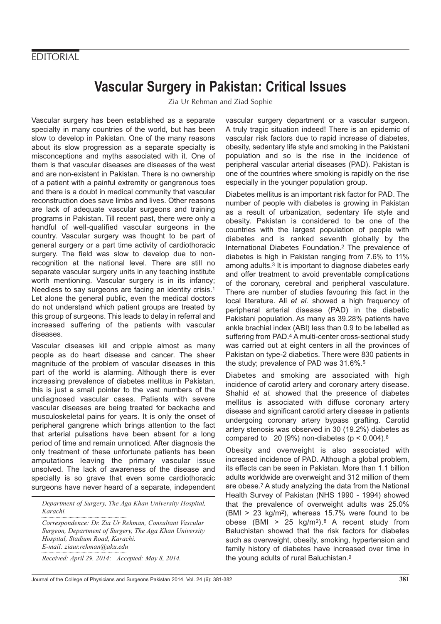### **FDITORIAL**

# **Vascular Surgery in Pakistan: Critical Issues**

Zia Ur Rehman and Ziad Sophie

Vascular surgery has been established as a separate specialty in many countries of the world, but has been slow to develop in Pakistan. One of the many reasons about its slow progression as a separate specialty is misconceptions and myths associated with it. One of them is that vascular diseases are diseases of the west and are non-existent in Pakistan. There is no ownership of a patient with a painful extremity or gangrenous toes and there is a doubt in medical community that vascular reconstruction does save limbs and lives. Other reasons are lack of adequate vascular surgeons and training programs in Pakistan. Till recent past, there were only a handful of well-qualified vascular surgeons in the country. Vascular surgery was thought to be part of general surgery or a part time activity of cardiothoracic surgery. The field was slow to develop due to nonrecognition at the national level. There are still no separate vascular surgery units in any teaching institute worth mentioning. Vascular surgery is in its infancy; Needless to say surgeons are facing an identity crisis.1 Let alone the general public, even the medical doctors do not understand which patient groups are treated by this group of surgeons. This leads to delay in referral and increased suffering of the patients with vascular diseases.

Vascular diseases kill and cripple almost as many people as do heart disease and cancer. The sheer magnitude of the problem of vascular diseases in this part of the world is alarming. Although there is ever increasing prevalence of diabetes mellitus in Pakistan, this is just a small pointer to the vast numbers of the undiagnosed vascular cases. Patients with severe vascular diseases are being treated for backache and musculoskeletal pains for years. It is only the onset of peripheral gangrene which brings attention to the fact that arterial pulsations have been absent for a long period of time and remain unnoticed. After diagnosis the only treatment of these unfortunate patients has been amputations leaving the primary vascular issue unsolved. The lack of awareness of the disease and specialty is so grave that even some cardiothoracic surgeons have never heard of a separate, independent

*Department of Surgery, The Aga Khan University Hospital, Karachi.*

*Correspondence: Dr. Zia Ur Rehman, Consultant Vascular Surgeon, Department of Surgery, The Aga Khan University Hospital, Stadium Road, Karachi. E-mail: ziaur.rehman@aku.edu Received: April 29, 2014; Accepted: May 8, 2014.*

vascular surgery department or a vascular surgeon. A truly tragic situation indeed! There is an epidemic of vascular risk factors due to rapid increase of diabetes, obesity, sedentary life style and smoking in the Pakistani population and so is the rise in the incidence of peripheral vascular arterial diseases (PAD). Pakistan is one of the countries where smoking is rapidly on the rise especially in the younger population group.

Diabetes mellitus is an important risk factor for PAD. The number of people with diabetes is growing in Pakistan as a result of urbanization, sedentary life style and obesity. Pakistan is considered to be one of the countries with the largest population of people with diabetes and is ranked seventh globally by the International Diabetes Foundation.2 The prevalence of diabetes is high in Pakistan ranging from 7.6% to 11% among adults.3 It is important to diagnose diabetes early and offer treatment to avoid preventable complications of the coronary, cerebral and peripheral vasculature. There are number of studies favouring this fact in the local literature. Ali et al. showed a high frequency of peripheral arterial disease (PAD) in the diabetic Pakistani population. As many as 39.28% patients have ankle brachial index (ABI) less than 0.9 to be labelled as suffering from PAD.<sup>4</sup> A multi-center cross-sectional study was carried out at eight centers in all the provinces of Pakistan on type-2 diabetics. There were 830 patients in the study; prevalence of PAD was 31.6%.5

Diabetes and smoking are associated with high incidence of carotid artery and coronary artery disease. Shahid et al. showed that the presence of diabetes mellitus is associated with diffuse coronary artery disease and significant carotid artery disease in patients undergoing coronary artery bypass grafting. Carotid artery stenosis was observed in 30 (19.2%) diabetes as compared to 20 (9%) non-diabetes ( $p < 0.004$ ).<sup>6</sup>

Obesity and overweight is also associated with increased incidence of PAD. Although a global problem, its effects can be seen in Pakistan. More than 1.1 billion adults worldwide are overweight and 312 million of them are obese.7 A study analyzing the data from the National Health Survey of Pakistan (NHS 1990 - 1994) showed that the prevalence of overweight adults was 25.0% (BMI > 23 kg/m2), whereas 15.7% were found to be obese (BMI >  $25 \text{ kg/m}^2$ ).8 A recent study from Baluchistan showed that the risk factors for diabetes such as overweight, obesity, smoking, hypertension and family history of diabetes have increased over time in the young adults of rural Baluchistan.9